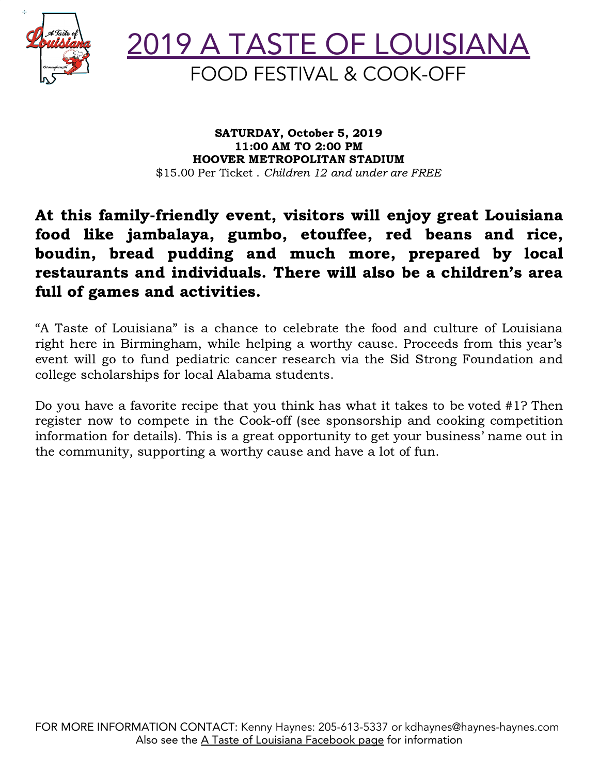



SATURDAY, October 5, 2019 11:00 AM TO 2:00 PM HOOVER METROPOLITAN STADIUM \$15.00 Per Ticket, Children 12 and under are FREE

### At this family-friendly event, visitors will enjoy great Louisiana food like jambalaya, gumbo, etouffee, red beans and rice, boudin, bread pudding and much more, prepared by local restaurants and individuals. There will also be a children's area full of games and activities.

"A Taste of Louisiana" is a chance to celebrate the food and culture of Louisiana right here in Birmingham, while helping a worthy cause. Proceeds from this year's event will go to fund pediatric cancer research via the Sid Strong Foundation and college scholarships for local Alabama students.

Do you have a favorite recipe that you think has what it takes to be voted #1? Then register now to compete in the Cook-off (see sponsorship and cooking competition information for details). This is a great opportunity to get your business' name out in the community, supporting a worthy cause and have a lot of fun.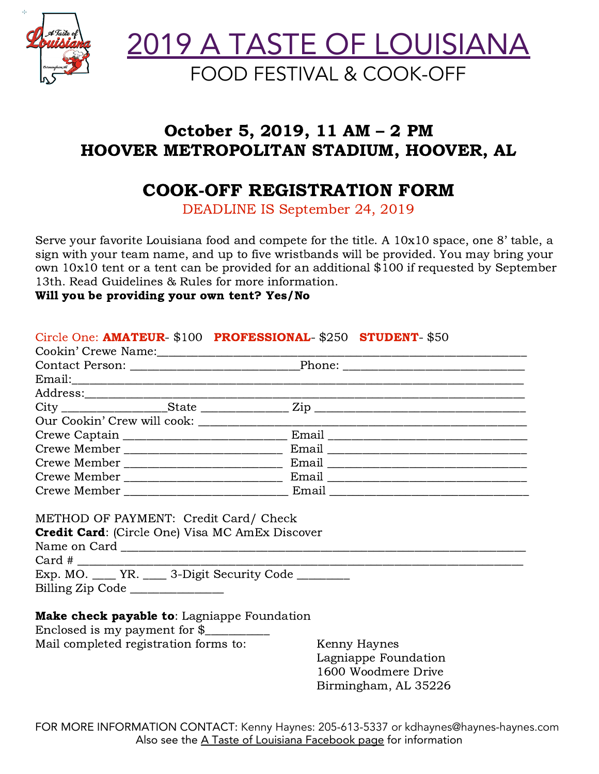

2019 A TASTE OF LOUISIANA FOOD FESTIVAL & COOK-OFF

## October 5, 2019, 11 AM – 2 PM HOOVER METROPOLITAN STADIUM, HOOVER, AL

## COOK-OFF REGISTRATION FORM

DEADLINE IS September 24, 2019

Serve your favorite Louisiana food and compete for the title. A 10x10 space, one 8' table, a sign with your team name, and up to five wristbands will be provided. You may bring your own 10x10 tent or a tent can be provided for an additional \$100 if requested by September 13th. Read Guidelines & Rules for more information.

#### Will you be providing your own tent? Yes/No

| Circle One: AMATEUR- \$100 PROFESSIONAL- \$250 STUDENT- \$50 |  |                      |
|--------------------------------------------------------------|--|----------------------|
|                                                              |  |                      |
|                                                              |  |                      |
| Email: Email:                                                |  |                      |
|                                                              |  |                      |
|                                                              |  |                      |
|                                                              |  |                      |
|                                                              |  |                      |
|                                                              |  |                      |
|                                                              |  |                      |
|                                                              |  |                      |
|                                                              |  |                      |
|                                                              |  |                      |
| METHOD OF PAYMENT: Credit Card/ Check                        |  |                      |
| <b>Credit Card:</b> (Circle One) Visa MC AmEx Discover       |  |                      |
|                                                              |  |                      |
|                                                              |  |                      |
| Exp. MO. ____ YR. ____ 3-Digit Security Code _______         |  |                      |
| Billing Zip Code                                             |  |                      |
|                                                              |  |                      |
| Make check payable to: Lagniappe Foundation                  |  |                      |
| Enclosed is my payment for $\frac{1}{2}$                     |  |                      |
| Mail completed registration forms to:                        |  | Kenny Haynes         |
|                                                              |  | Lagniappe Foundation |

FOR MORE INFORMATION CONTACT: Kenny Haynes: 205-613-5337 or kdhaynes@haynes-haynes.com Also see the A Taste of Louisiana [Facebook](https://www.facebook.com/A-Taste-of-Louisiana-Food-Festival-Cook-Off-1570756872991394/) page for information

1600 Woodmere Drive Birmingham, AL 35226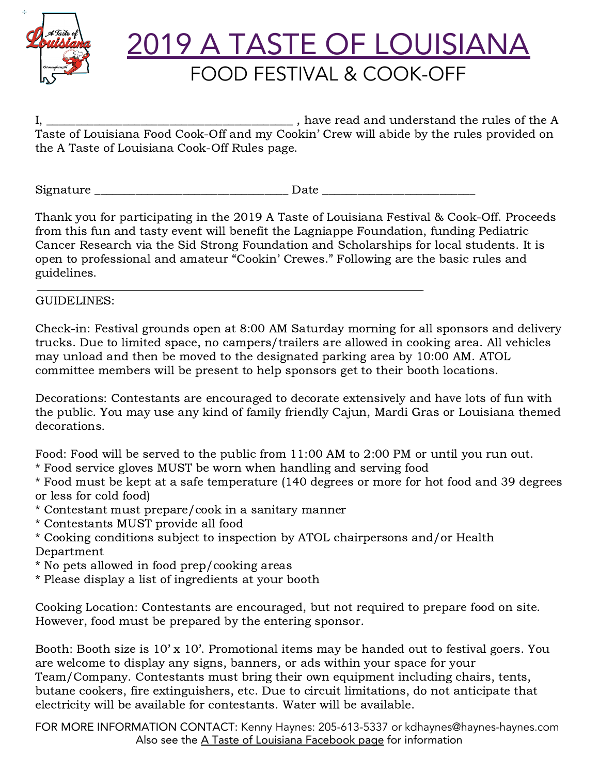

# 2019 A TASTE OF LOUISIANA FOOD FESTIVAL & COOK-OFF

I, \_\_\_\_\_\_\_\_\_\_\_\_\_\_\_\_\_\_\_\_\_\_\_\_\_\_\_\_\_\_\_\_\_\_\_\_\_\_\_\_\_\_ , have read and understand the rules of the A Taste of Louisiana Food Cook-Off and my Cookin' Crew will abide by the rules provided on the A Taste of Louisiana Cook-Off Rules page.

Signature the contract of the contract of  $\Gamma$  Date  $\Gamma$ 

Thank you for participating in the 2019 A Taste of Louisiana Festival & Cook-Off. Proceeds from this fun and tasty event will benefit the Lagniappe Foundation, funding Pediatric Cancer Research via the Sid Strong Foundation and Scholarships for local students. It is open to professional and amateur "Cookin' Crewes." Following are the basic rules and guidelines.

### GUIDELINES:

Check-in: Festival grounds open at 8:00 AM Saturday morning for all sponsors and delivery trucks. Due to limited space, no campers/trailers are allowed in cooking area. All vehicles may unload and then be moved to the designated parking area by 10:00 AM. ATOL committee members will be present to help sponsors get to their booth locations.

Decorations: Contestants are encouraged to decorate extensively and have lots of fun with the public. You may use any kind of family friendly Cajun, Mardi Gras or Louisiana themed decorations.

Food: Food will be served to the public from 11:00 AM to 2:00 PM or until you run out.

\* Food service gloves MUST be worn when handling and serving food

\* Food must be kept at a safe temperature (140 degrees or more for hot food and 39 degrees or less for cold food)

- \* Contestant must prepare/cook in a sanitary manner
- \* Contestants MUST provide all food
- \* Cooking conditions subject to inspection by ATOL chairpersons and/or Health Department
- \* No pets allowed in food prep/cooking areas
- \* Please display a list of ingredients at your booth

Cooking Location: Contestants are encouraged, but not required to prepare food on site. However, food must be prepared by the entering sponsor.

Booth: Booth size is 10' x 10'. Promotional items may be handed out to festival goers. You are welcome to display any signs, banners, or ads within your space for your Team/Company. Contestants must bring their own equipment including chairs, tents, butane cookers, fire extinguishers, etc. Due to circuit limitations, do not anticipate that electricity will be available for contestants. Water will be available.

FOR MORE INFORMATION CONTACT: Kenny Haynes: 205-613-5337 or kdhaynes@haynes-haynes.com Also see the A Taste of Louisiana [Facebook](https://www.facebook.com/A-Taste-of-Louisiana-Food-Festival-Cook-Off-1570756872991394/) page for information